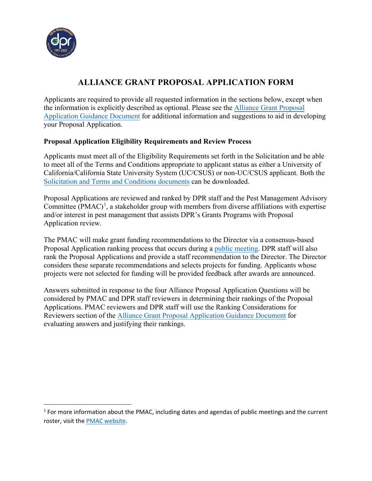

# **ALLIANCE GRANT PROPOSAL APPLICATION FORM**

Applicants are required to provide all requested information in the sections below, except when the information is explicitly described as optional. Please see the [Alliance Grant Proposal](https://www.cdpr.ca.gov/docs/pestmgt/grants/alliance/solicitation/alliance_grant_guidance_2022.pdf)  [Application Guidance Document](https://www.cdpr.ca.gov/docs/pestmgt/grants/alliance/solicitation/alliance_grant_guidance_2022.pdf) for additional information and suggestions to aid in developing your Proposal Application.

#### **Proposal Application Eligibility Requirements and Review Process**

Applicants must meet all of the Eligibility Requirements set forth in the Solicitation and be able to meet all of the Terms and Conditions appropriate to applicant status as either a University of California/California State University System (UC/CSUS) or non-UC/CSUS applicant. Both the [Solicitation and Terms and Conditions documents](https://www.cdpr.ca.gov/docs/pestmgt/grants/alliance/app_materials.htm) can be downloaded.

Proposal Applications are reviewed and ranked by DPR staff and the Pest Management Advisory Committee  $(PMAC)^1$  $(PMAC)^1$ , a stakeholder group with members from diverse affiliations with expertise and/or interest in pest management that assists DPR's Grants Programs with Proposal Application review.

The PMAC will make grant funding recommendations to the Director via a consensus-based Proposal Application ranking process that occurs during [a public meeting.](https://www.cdpr.ca.gov/docs/dept/pmac/pmaclink.htm) DPR staff will also rank the Proposal Applications and provide a staff recommendation to the Director. The Director considers these separate recommendations and selects projects for funding. Applicants whose projects were not selected for funding will be provided feedback after awards are announced.

Answers submitted in response to the four Alliance Proposal Application Questions will be considered by PMAC and DPR staff reviewers in determining their rankings of the Proposal Applications. PMAC reviewers and DPR staff will use the Ranking Considerations for Reviewers section of th[e Alliance Grant Proposal Application Guidance Document](https://www.cdpr.ca.gov/docs/pestmgt/grants/alliance/solicitation/alliance_grant_guidance_2022.pdf) for evaluating answers and justifying their rankings.

<span id="page-0-0"></span> $1$  For more information about the PMAC, including dates and agendas of public meetings and the current roster, visit the [PMAC website.](https://www.cdpr.ca.gov/docs/dept/pmac/pmaclink.htm)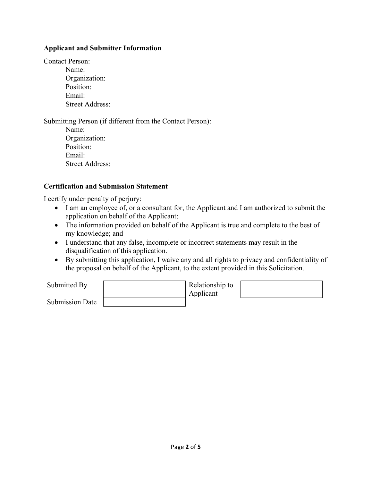#### **Applicant and Submitter Information**

Contact Person:

Name: Organization: Position: Email: Street Address:

Submitting Person (if different from the Contact Person): Name: Organization: Position: Email: Street Address:

#### **Certification and Submission Statement**

I certify under penalty of perjury:

- I am an employee of, or a consultant for, the Applicant and I am authorized to submit the application on behalf of the Applicant;
- The information provided on behalf of the Applicant is true and complete to the best of my knowledge; and
- I understand that any false, incomplete or incorrect statements may result in the disqualification of this application.
- By submitting this application, I waive any and all rights to privacy and confidentiality of the proposal on behalf of the Applicant, to the extent provided in this Solicitation.

| Submitted By    | Relationship to<br>Applicant |  |
|-----------------|------------------------------|--|
| Submission Date |                              |  |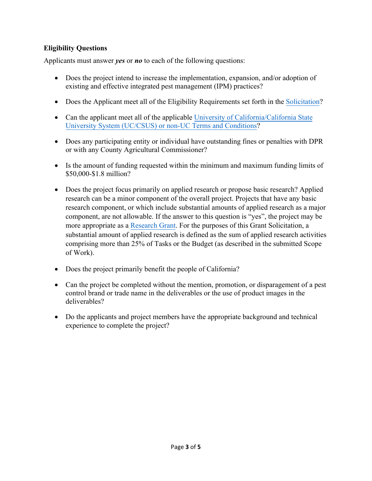## **Eligibility Questions**

Applicants must answer *yes* or *no* to each of the following questions:

- Does the project intend to increase the implementation, expansion, and/or adoption of existing and effective integrated pest management (IPM) practices?
- Does the Applicant meet all of the Eligibility Requirements set forth in the S[olicitation](https://www.cdpr.ca.gov/docs/pestmgt/grants/alliance/solicitation/alliance_grant_solicitation_2022.pdf)?
- Can the applicant meet all of the applicable [University of California](https://www.cdpr.ca.gov/docs/pestmgt/grants/alliance/app_materials.htm)/California [State](https://www.cdpr.ca.gov/docs/pestmgt/grants/alliance/app_materials.htm) Un[iversity System \(UC/CSUS\) or non-UC Terms and](https://www.cdpr.ca.gov/docs/pestmgt/grants/alliance/app_materials.htm) Conditions?
- Does any participating entity or individual have outstanding fines or penalties with DPR or with any County Agricultural Commissioner?
- Is the amount of funding requested within the minimum and maximum funding limits of \$50,000-\$1.8 million?
- Does the project focus primarily on applied research or propose basic research? Applied research can be a minor component of the overall project. Projects that have any basic research component, or which include substantial amounts of applied research as a major component, are not allowable. If the answer to this question is "yes", the project may be more appropriate as a [Research Grant.](https://www.cdpr.ca.gov/docs/pestmgt/grants/research/index.htm) For the purposes of this Grant Solicitation, a substantial amount of applied research is defined as the sum of applied research activities comprising more than 25% of Tasks or the Budget (as described in the submitted Scope of Work).
- Does the project primarily benefit the people of California?
- Can the project be completed without the mention, promotion, or disparagement of a pest control brand or trade name in the deliverables or the use of product images in the deliverables?
- Do the applicants and project members have the appropriate background and technical experience to complete the project?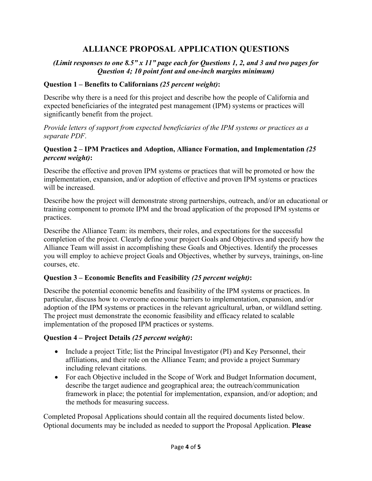## **ALLIANCE PROPOSAL APPLICATION QUESTIONS**

### *(Limit responses to one 8.5" x 11" page each for Questions 1, 2, and 3 and two pages for Question 4; 10 point font and one-inch margins minimum)*

#### **Question 1 – Benefits to Californians** *(25 percent weight)***:**

Describe why there is a need for this project and describe how the people of California and expected beneficiaries of the integrated pest management (IPM) systems or practices will significantly benefit from the project.

*Provide letters of support from expected beneficiaries of the IPM systems or practices as a separate PDF*.

#### **Question 2 – IPM Practices and Adoption, Alliance Formation, and Implementation** *(25 percent weight)***:**

Describe the effective and proven IPM systems or practices that will be promoted or how the implementation, expansion, and/or adoption of effective and proven IPM systems or practices will be increased.

Describe how the project will demonstrate strong partnerships, outreach, and/or an educational or training component to promote IPM and the broad application of the proposed IPM systems or practices.

Describe the Alliance Team: its members, their roles, and expectations for the successful completion of the project. Clearly define your project Goals and Objectives and specify how the Alliance Team will assist in accomplishing these Goals and Objectives. Identify the processes you will employ to achieve project Goals and Objectives, whether by surveys, trainings, on-line courses, etc.

#### **Question 3 – Economic Benefits and Feasibility** *(25 percent weight)***:**

Describe the potential economic benefits and feasibility of the IPM systems or practices. In particular, discuss how to overcome economic barriers to implementation, expansion, and/or adoption of the IPM systems or practices in the relevant agricultural, urban, or wildland setting. The project must demonstrate the economic feasibility and efficacy related to scalable implementation of the proposed IPM practices or systems.

#### **Question 4 – Project Details** *(25 percent weight)***:**

- Include a project Title; list the Principal Investigator (PI) and Key Personnel, their affiliations, and their role on the Alliance Team; and provide a project Summary including relevant citations.
- For each Objective included in the Scope of Work and Budget Information document, describe the target audience and geographical area; the outreach/communication framework in place; the potential for implementation, expansion, and/or adoption; and the methods for measuring success.

Completed Proposal Applications should contain all the required documents listed below. Optional documents may be included as needed to support the Proposal Application. **Please**